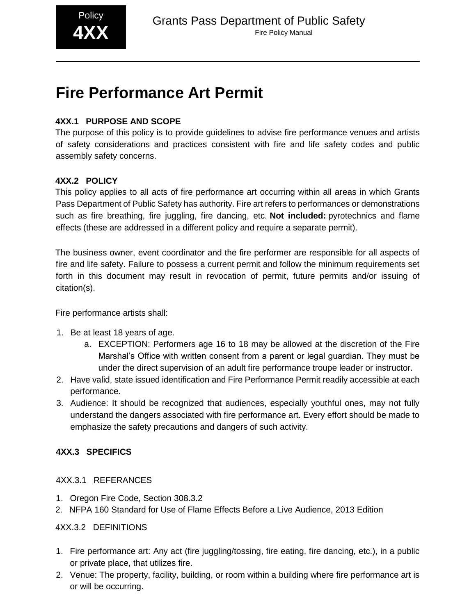

# **Fire Performance Art Permit**

## **4XX.1 PURPOSE AND SCOPE**

The purpose of this policy is to provide guidelines to advise fire performance venues and artists of safety considerations and practices consistent with fire and life safety codes and public assembly safety concerns.

### **4XX.2 POLICY**

This policy applies to all acts of fire performance art occurring within all areas in which Grants Pass Department of Public Safety has authority. Fire art refers to performances or demonstrations such as fire breathing, fire juggling, fire dancing, etc. **Not included:** pyrotechnics and flame effects (these are addressed in a different policy and require a separate permit).

The business owner, event coordinator and the fire performer are responsible for all aspects of fire and life safety. Failure to possess a current permit and follow the minimum requirements set forth in this document may result in revocation of permit, future permits and/or issuing of citation(s).

Fire performance artists shall:

- 1. Be at least 18 years of age.
	- a. EXCEPTION: Performers age 16 to 18 may be allowed at the discretion of the Fire Marshal's Office with written consent from a parent or legal guardian. They must be under the direct supervision of an adult fire performance troupe leader or instructor.
- 2. Have valid, state issued identification and Fire Performance Permit readily accessible at each performance.
- 3. Audience: It should be recognized that audiences, especially youthful ones, may not fully understand the dangers associated with fire performance art. Every effort should be made to emphasize the safety precautions and dangers of such activity.

### **4XX.3 SPECIFICS**

### 4XX.3.1 REFERANCES

- 1. Oregon Fire Code, Section 308.3.2
- 2. NFPA 160 Standard for Use of Flame Effects Before a Live Audience, 2013 Edition

### 4XX.3.2 DEFINITIONS

- 1. Fire performance art: Any act (fire juggling/tossing, fire eating, fire dancing, etc.), in a public or private place, that utilizes fire.
- 2. Venue: The property, facility, building, or room within a building where fire performance art is or will be occurring.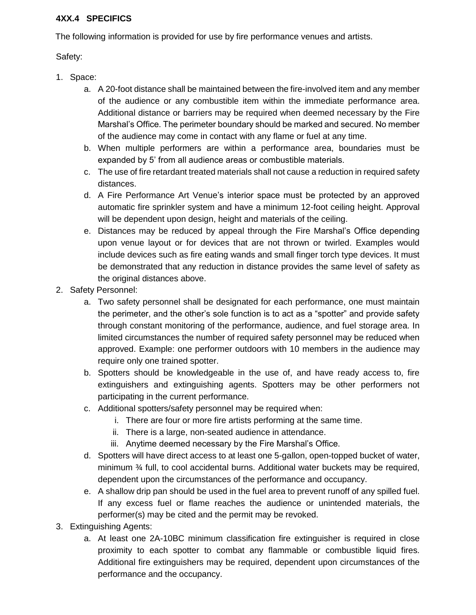#### **4XX.4 SPECIFICS**

The following information is provided for use by fire performance venues and artists.

Safety:

- 1. Space:
	- a. A 20-foot distance shall be maintained between the fire-involved item and any member of the audience or any combustible item within the immediate performance area. Additional distance or barriers may be required when deemed necessary by the Fire Marshal's Office. The perimeter boundary should be marked and secured. No member of the audience may come in contact with any flame or fuel at any time.
	- b. When multiple performers are within a performance area, boundaries must be expanded by 5' from all audience areas or combustible materials.
	- c. The use of fire retardant treated materials shall not cause a reduction in required safety distances.
	- d. A Fire Performance Art Venue's interior space must be protected by an approved automatic fire sprinkler system and have a minimum 12-foot ceiling height. Approval will be dependent upon design, height and materials of the ceiling.
	- e. Distances may be reduced by appeal through the Fire Marshal's Office depending upon venue layout or for devices that are not thrown or twirled. Examples would include devices such as fire eating wands and small finger torch type devices. It must be demonstrated that any reduction in distance provides the same level of safety as the original distances above.
- 2. Safety Personnel:
	- a. Two safety personnel shall be designated for each performance, one must maintain the perimeter, and the other's sole function is to act as a "spotter" and provide safety through constant monitoring of the performance, audience, and fuel storage area. In limited circumstances the number of required safety personnel may be reduced when approved. Example: one performer outdoors with 10 members in the audience may require only one trained spotter.
	- b. Spotters should be knowledgeable in the use of, and have ready access to, fire extinguishers and extinguishing agents. Spotters may be other performers not participating in the current performance.
	- c. Additional spotters/safety personnel may be required when:
		- i. There are four or more fire artists performing at the same time.
		- ii. There is a large, non-seated audience in attendance.
		- iii. Anytime deemed necessary by the Fire Marshal's Office.
	- d. Spotters will have direct access to at least one 5-gallon, open-topped bucket of water, minimum ¾ full, to cool accidental burns. Additional water buckets may be required, dependent upon the circumstances of the performance and occupancy.
	- e. A shallow drip pan should be used in the fuel area to prevent runoff of any spilled fuel. If any excess fuel or flame reaches the audience or unintended materials, the performer(s) may be cited and the permit may be revoked.
- 3. Extinguishing Agents:
	- a. At least one 2A-10BC minimum classification fire extinguisher is required in close proximity to each spotter to combat any flammable or combustible liquid fires. Additional fire extinguishers may be required, dependent upon circumstances of the performance and the occupancy.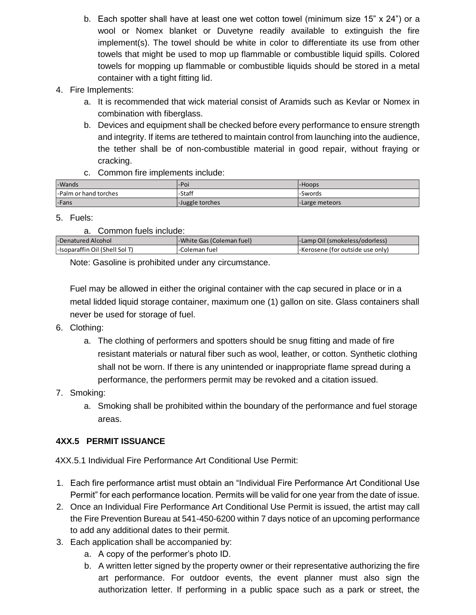- b. Each spotter shall have at least one wet cotton towel (minimum size  $15"$  x  $24"$ ) or a wool or Nomex blanket or Duvetyne readily available to extinguish the fire implement(s). The towel should be white in color to differentiate its use from other towels that might be used to mop up flammable or combustible liquid spills. Colored towels for mopping up flammable or combustible liquids should be stored in a metal container with a tight fitting lid.
- 4. Fire Implements:
	- a. It is recommended that wick material consist of Aramids such as Kevlar or Nomex in combination with fiberglass.
	- b. Devices and equipment shall be checked before every performance to ensure strength and integrity. If items are tethered to maintain control from launching into the audience, the tether shall be of non-combustible material in good repair, without fraying or cracking.
	- c. Common fire implements include:

| -Wands                | l-Poi           | l-Hoops         |
|-----------------------|-----------------|-----------------|
| -Palm or hand torches | <b>-Staff</b>   | -Swords         |
| -Fans                 | -Juggle torches | '-Large meteors |

#### 5. Fuels:

| -Denatured Alcohol             | -White Gas (Coleman fuel) | - I-Lamp Oil (smokeless/odorless) |
|--------------------------------|---------------------------|-----------------------------------|
| -Isoparaffin Oil (Shell Sol T) | Coleman fuel.             | I-Kerosene (for outside use only) |

Note: Gasoline is prohibited under any circumstance.

Fuel may be allowed in either the original container with the cap secured in place or in a metal lidded liquid storage container, maximum one (1) gallon on site. Glass containers shall never be used for storage of fuel.

- 6. Clothing:
	- a. The clothing of performers and spotters should be snug fitting and made of fire resistant materials or natural fiber such as wool, leather, or cotton. Synthetic clothing shall not be worn. If there is any unintended or inappropriate flame spread during a performance, the performers permit may be revoked and a citation issued.
- 7. Smoking:
	- a. Smoking shall be prohibited within the boundary of the performance and fuel storage areas.

# **4XX.5 PERMIT ISSUANCE**

4XX.5.1 Individual Fire Performance Art Conditional Use Permit:

- 1. Each fire performance artist must obtain an "Individual Fire Performance Art Conditional Use Permit" for each performance location. Permits will be valid for one year from the date of issue.
- 2. Once an Individual Fire Performance Art Conditional Use Permit is issued, the artist may call the Fire Prevention Bureau at 541-450-6200 within 7 days notice of an upcoming performance to add any additional dates to their permit.
- 3. Each application shall be accompanied by:
	- a. A copy of the performer's photo ID.
	- b. A written letter signed by the property owner or their representative authorizing the fire art performance. For outdoor events, the event planner must also sign the authorization letter. If performing in a public space such as a park or street, the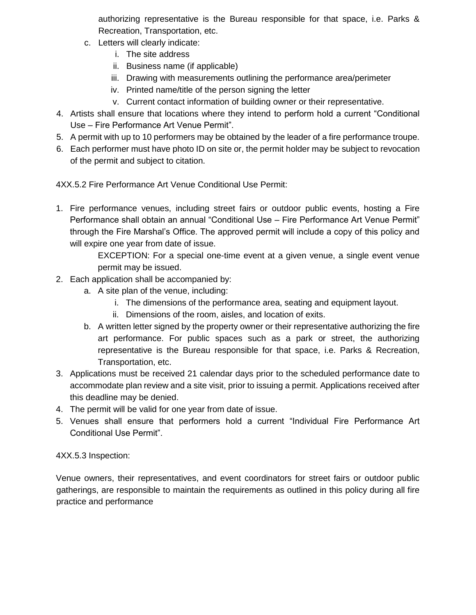authorizing representative is the Bureau responsible for that space, i.e. Parks & Recreation, Transportation, etc.

- c. Letters will clearly indicate:
	- i. The site address
	- ii. Business name (if applicable)
	- iii. Drawing with measurements outlining the performance area/perimeter
	- iv. Printed name/title of the person signing the letter
	- v. Current contact information of building owner or their representative.
- 4. Artists shall ensure that locations where they intend to perform hold a current "Conditional Use – Fire Performance Art Venue Permit".
- 5. A permit with up to 10 performers may be obtained by the leader of a fire performance troupe.
- 6. Each performer must have photo ID on site or, the permit holder may be subject to revocation of the permit and subject to citation.

4XX.5.2 Fire Performance Art Venue Conditional Use Permit:

1. Fire performance venues, including street fairs or outdoor public events, hosting a Fire Performance shall obtain an annual "Conditional Use – Fire Performance Art Venue Permit" through the Fire Marshal's Office. The approved permit will include a copy of this policy and will expire one year from date of issue.

> EXCEPTION: For a special one-time event at a given venue, a single event venue permit may be issued.

- 2. Each application shall be accompanied by:
	- a. A site plan of the venue, including:
		- i. The dimensions of the performance area, seating and equipment layout.
		- ii. Dimensions of the room, aisles, and location of exits.
	- b. A written letter signed by the property owner or their representative authorizing the fire art performance. For public spaces such as a park or street, the authorizing representative is the Bureau responsible for that space, i.e. Parks & Recreation, Transportation, etc.
- 3. Applications must be received 21 calendar days prior to the scheduled performance date to accommodate plan review and a site visit, prior to issuing a permit. Applications received after this deadline may be denied.
- 4. The permit will be valid for one year from date of issue.
- 5. Venues shall ensure that performers hold a current "Individual Fire Performance Art Conditional Use Permit".

4XX.5.3 Inspection:

Venue owners, their representatives, and event coordinators for street fairs or outdoor public gatherings, are responsible to maintain the requirements as outlined in this policy during all fire practice and performance